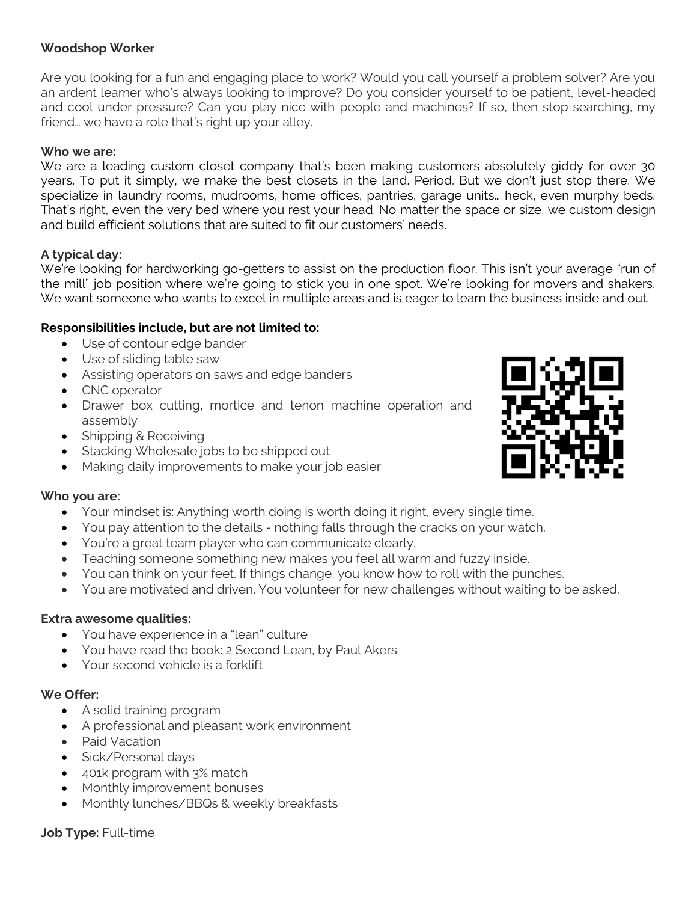### **Woodshop Worker**

Are you looking for a fun and engaging place to work? Would you call yourself a problem solver? Are you an ardent learner who's always looking to improve? Do you consider yourself to be patient, level-headed and cool under pressure? Can you play nice with people and machines? If so, then stop searching, my friend… we have a role that's right up your alley.

#### **Who we are:**

We are a leading custom closet company that's been making customers absolutely giddy for over 30 years. To put it simply, we make the best closets in the land. Period. But we don't just stop there. We specialize in laundry rooms, mudrooms, home offices, pantries, garage units… heck, even murphy beds. That's right, even the very bed where you rest your head. No matter the space or size, we custom design and build efficient solutions that are suited to fit our customers' needs.

## **A typical day:**

We're looking for hardworking go-getters to assist on the production floor. This isn't your average "run of the mill" job position where we're going to stick you in one spot. We're looking for movers and shakers. We want someone who wants to excel in multiple areas and is eager to learn the business inside and out.

## **Responsibilities include, but are not limited to:**

- Use of contour edge bander
- Use of sliding table saw
- Assisting operators on saws and edge banders
- CNC operator
- Drawer box cutting, mortice and tenon machine operation and assembly
- Shipping & Receiving
- Stacking Wholesale jobs to be shipped out
- Making daily improvements to make your job easier

#### **Who you are:**

- Your mindset is: Anything worth doing is worth doing it right, every single time.
- You pay attention to the details nothing falls through the cracks on your watch.
- You're a great team player who can communicate clearly.
- Teaching someone something new makes you feel all warm and fuzzy inside.
- You can think on your feet. If things change, you know how to roll with the punches.
- You are motivated and driven. You volunteer for new challenges without waiting to be asked.

#### **Extra awesome qualities:**

- You have experience in a "lean" culture
- You have read the book: 2 Second Lean, by Paul Akers
- Your second vehicle is a forklift

# **We Offer:**

- A solid training program
- A professional and pleasant work environment
- Paid Vacation
- Sick/Personal days
- 401k program with 3% match
- Monthly improvement bonuses
- Monthly lunches/BBQs & weekly breakfasts

**Job Type:** Full-time